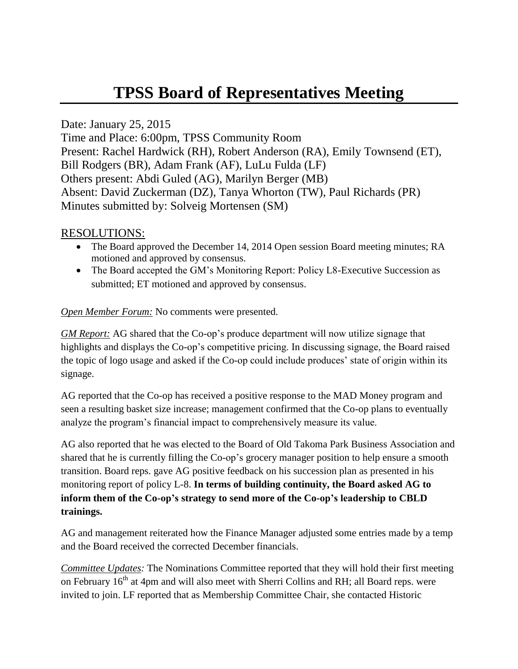# **TPSS Board of Representatives Meeting**

Date: January 25, 2015 Time and Place: 6:00pm, TPSS Community Room Present: Rachel Hardwick (RH), Robert Anderson (RA), Emily Townsend (ET), Bill Rodgers (BR), Adam Frank (AF), LuLu Fulda (LF) Others present: Abdi Guled (AG), Marilyn Berger (MB) Absent: David Zuckerman (DZ), Tanya Whorton (TW), Paul Richards (PR) Minutes submitted by: Solveig Mortensen (SM)

## RESOLUTIONS:

- The Board approved the December 14, 2014 Open session Board meeting minutes; RA motioned and approved by consensus.
- The Board accepted the GM's Monitoring Report: Policy L8-Executive Succession as submitted; ET motioned and approved by consensus.

#### *Open Member Forum:* No comments were presented.

*GM Report:* AG shared that the Co-op's produce department will now utilize signage that highlights and displays the Co-op's competitive pricing. In discussing signage, the Board raised the topic of logo usage and asked if the Co-op could include produces' state of origin within its signage.

AG reported that the Co-op has received a positive response to the MAD Money program and seen a resulting basket size increase; management confirmed that the Co-op plans to eventually analyze the program's financial impact to comprehensively measure its value.

AG also reported that he was elected to the Board of Old Takoma Park Business Association and shared that he is currently filling the Co-op's grocery manager position to help ensure a smooth transition. Board reps. gave AG positive feedback on his succession plan as presented in his monitoring report of policy L-8. **In terms of building continuity, the Board asked AG to inform them of the Co-op's strategy to send more of the Co-op's leadership to CBLD trainings.**

AG and management reiterated how the Finance Manager adjusted some entries made by a temp and the Board received the corrected December financials.

*Committee Updates:* The Nominations Committee reported that they will hold their first meeting on February 16<sup>th</sup> at 4pm and will also meet with Sherri Collins and RH; all Board reps. were invited to join. LF reported that as Membership Committee Chair, she contacted Historic